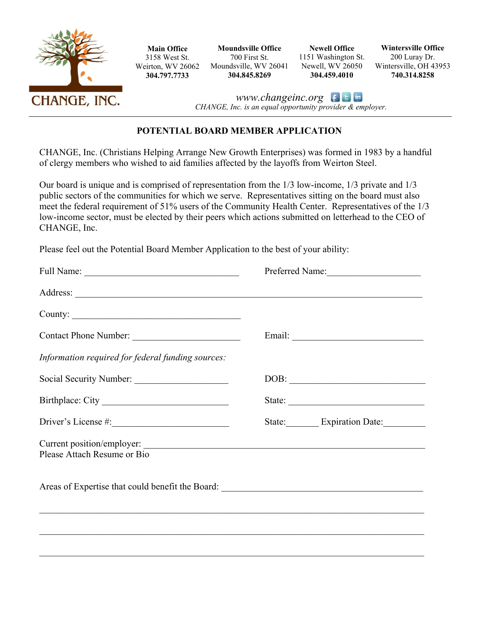

**Main Office**  3158 West St. Weirton, WV 26062 **304.797.7733** 

**Moundsville Office**  700 First St. Moundsville, WV 26041 **304.845.8269** 

**Newell Office**  1151 Washington St. Newell, WV 26050 **304.459.4010** 

**Wintersville Office**  200 Luray Dr. Wintersville, OH 43953 **740.314.8258** 

*www.changeinc.org CHANGE, Inc. is an equal opportunity provider & employer.*

## **POTENTIAL BOARD MEMBER APPLICATION**

CHANGE, Inc. (Christians Helping Arrange New Growth Enterprises) was formed in 1983 by a handful of clergy members who wished to aid families affected by the layoffs from Weirton Steel.

Our board is unique and is comprised of representation from the 1/3 low-income, 1/3 private and 1/3 public sectors of the communities for which we serve. Representatives sitting on the board must also meet the federal requirement of 51% users of the Community Health Center. Representatives of the 1/3 low-income sector, must be elected by their peers which actions submitted on letterhead to the CEO of CHANGE, Inc.

Please feel out the Potential Board Member Application to the best of your ability:

|                                                           | Preferred Name:         |  |
|-----------------------------------------------------------|-------------------------|--|
|                                                           |                         |  |
| County:                                                   |                         |  |
| Contact Phone Number:                                     |                         |  |
| Information required for federal funding sources:         |                         |  |
| Social Security Number:                                   | DOB:                    |  |
| Birthplace: City                                          |                         |  |
|                                                           | State: Expiration Date: |  |
| Current position/employer:<br>Please Attach Resume or Bio |                         |  |
|                                                           |                         |  |
|                                                           |                         |  |
|                                                           |                         |  |
|                                                           |                         |  |